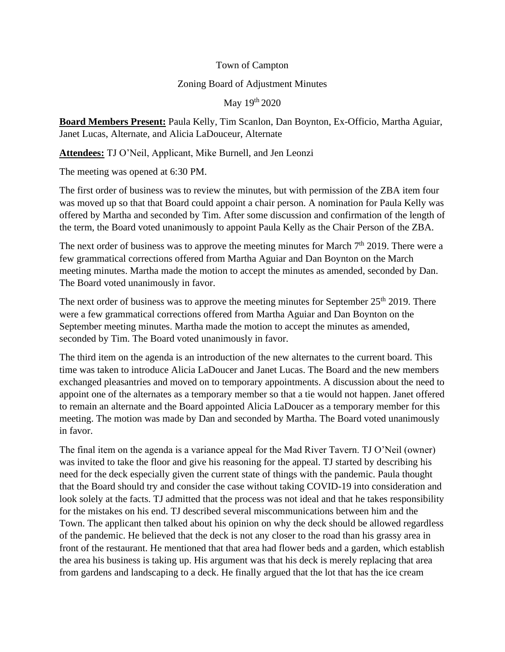Town of Campton

## Zoning Board of Adjustment Minutes

May 19th 2020

**Board Members Present:** Paula Kelly, Tim Scanlon, Dan Boynton, Ex-Officio, Martha Aguiar, Janet Lucas, Alternate, and Alicia LaDouceur, Alternate

**Attendees:** TJ O'Neil, Applicant, Mike Burnell, and Jen Leonzi

The meeting was opened at 6:30 PM.

The first order of business was to review the minutes, but with permission of the ZBA item four was moved up so that that Board could appoint a chair person. A nomination for Paula Kelly was offered by Martha and seconded by Tim. After some discussion and confirmation of the length of the term, the Board voted unanimously to appoint Paula Kelly as the Chair Person of the ZBA.

The next order of business was to approve the meeting minutes for March  $7<sup>th</sup>$  2019. There were a few grammatical corrections offered from Martha Aguiar and Dan Boynton on the March meeting minutes. Martha made the motion to accept the minutes as amended, seconded by Dan. The Board voted unanimously in favor.

The next order of business was to approve the meeting minutes for September  $25<sup>th</sup> 2019$ . There were a few grammatical corrections offered from Martha Aguiar and Dan Boynton on the September meeting minutes. Martha made the motion to accept the minutes as amended, seconded by Tim. The Board voted unanimously in favor.

The third item on the agenda is an introduction of the new alternates to the current board. This time was taken to introduce Alicia LaDoucer and Janet Lucas. The Board and the new members exchanged pleasantries and moved on to temporary appointments. A discussion about the need to appoint one of the alternates as a temporary member so that a tie would not happen. Janet offered to remain an alternate and the Board appointed Alicia LaDoucer as a temporary member for this meeting. The motion was made by Dan and seconded by Martha. The Board voted unanimously in favor.

The final item on the agenda is a variance appeal for the Mad River Tavern. TJ O'Neil (owner) was invited to take the floor and give his reasoning for the appeal. TJ started by describing his need for the deck especially given the current state of things with the pandemic. Paula thought that the Board should try and consider the case without taking COVID-19 into consideration and look solely at the facts. TJ admitted that the process was not ideal and that he takes responsibility for the mistakes on his end. TJ described several miscommunications between him and the Town. The applicant then talked about his opinion on why the deck should be allowed regardless of the pandemic. He believed that the deck is not any closer to the road than his grassy area in front of the restaurant. He mentioned that that area had flower beds and a garden, which establish the area his business is taking up. His argument was that his deck is merely replacing that area from gardens and landscaping to a deck. He finally argued that the lot that has the ice cream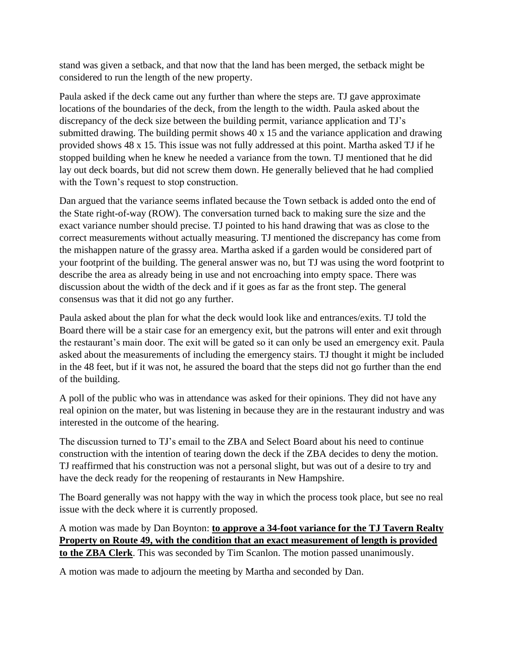stand was given a setback, and that now that the land has been merged, the setback might be considered to run the length of the new property.

Paula asked if the deck came out any further than where the steps are. TJ gave approximate locations of the boundaries of the deck, from the length to the width. Paula asked about the discrepancy of the deck size between the building permit, variance application and TJ's submitted drawing. The building permit shows 40 x 15 and the variance application and drawing provided shows 48 x 15. This issue was not fully addressed at this point. Martha asked TJ if he stopped building when he knew he needed a variance from the town. TJ mentioned that he did lay out deck boards, but did not screw them down. He generally believed that he had complied with the Town's request to stop construction.

Dan argued that the variance seems inflated because the Town setback is added onto the end of the State right-of-way (ROW). The conversation turned back to making sure the size and the exact variance number should precise. TJ pointed to his hand drawing that was as close to the correct measurements without actually measuring. TJ mentioned the discrepancy has come from the mishappen nature of the grassy area. Martha asked if a garden would be considered part of your footprint of the building. The general answer was no, but TJ was using the word footprint to describe the area as already being in use and not encroaching into empty space. There was discussion about the width of the deck and if it goes as far as the front step. The general consensus was that it did not go any further.

Paula asked about the plan for what the deck would look like and entrances/exits. TJ told the Board there will be a stair case for an emergency exit, but the patrons will enter and exit through the restaurant's main door. The exit will be gated so it can only be used an emergency exit. Paula asked about the measurements of including the emergency stairs. TJ thought it might be included in the 48 feet, but if it was not, he assured the board that the steps did not go further than the end of the building.

A poll of the public who was in attendance was asked for their opinions. They did not have any real opinion on the mater, but was listening in because they are in the restaurant industry and was interested in the outcome of the hearing.

The discussion turned to TJ's email to the ZBA and Select Board about his need to continue construction with the intention of tearing down the deck if the ZBA decides to deny the motion. TJ reaffirmed that his construction was not a personal slight, but was out of a desire to try and have the deck ready for the reopening of restaurants in New Hampshire.

The Board generally was not happy with the way in which the process took place, but see no real issue with the deck where it is currently proposed.

A motion was made by Dan Boynton: **to approve a 34-foot variance for the TJ Tavern Realty Property on Route 49, with the condition that an exact measurement of length is provided to the ZBA Clerk**. This was seconded by Tim Scanlon. The motion passed unanimously.

A motion was made to adjourn the meeting by Martha and seconded by Dan.